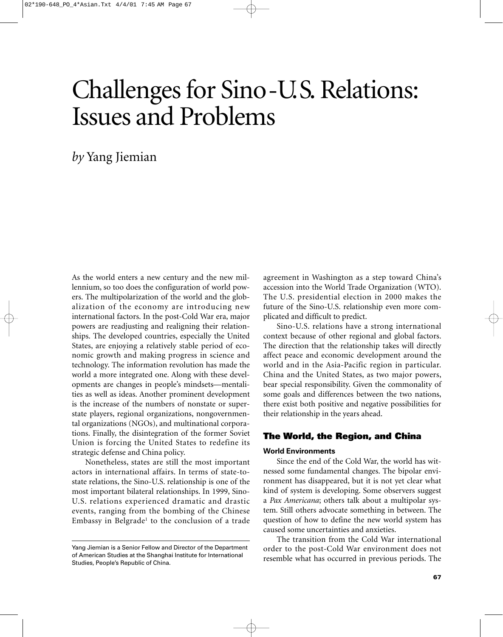# Challenges for Sino-U.S. Relations: Issues and Problems

*by* Yang Jiemian

As the world enters a new century and the new millennium, so too does the configuration of world powers. The multipolarization of the world and the globalization of the economy are introducing new international factors. In the post-Cold War era, major powers are readjusting and realigning their relationships. The developed countries, especially the United States, are enjoying a relatively stable period of economic growth and making progress in science and technology. The information revolution has made the world a more integrated one. Along with these developments are changes in people's mindsets—mentalities as well as ideas. Another prominent development is the increase of the numbers of nonstate or superstate players, regional organizations, nongovernmental organizations (NGOs), and multinational corporations. Finally, the disintegration of the former Soviet Union is forcing the United States to redefine its strategic defense and China policy.

Nonetheless, states are still the most important actors in international affairs. In terms of state-tostate relations, the Sino-U.S. relationship is one of the most important bilateral relationships. In 1999, Sino-U.S. relations experienced dramatic and drastic events, ranging from the bombing of the Chinese Embassy in Belgrade<sup>1</sup> to the conclusion of a trade

agreement in Washington as a step toward China's accession into the World Trade Organization (WTO). The U.S. presidential election in 2000 makes the future of the Sino-U.S. relationship even more complicated and difficult to predict.

Sino-U.S. relations have a strong international context because of other regional and global factors. The direction that the relationship takes will directly affect peace and economic development around the world and in the Asia-Pacific region in particular. China and the United States, as two major powers, bear special responsibility. Given the commonality of some goals and differences between the two nations, there exist both positive and negative possibilities for their relationship in the years ahead.

# **The World, the Region, and China**

## **World Environments**

Since the end of the Cold War, the world has witnessed some fundamental changes. The bipolar environment has disappeared, but it is not yet clear what kind of system is developing. Some observers suggest a *Pax Americana*; others talk about a multipolar system. Still others advocate something in between. The question of how to define the new world system has caused some uncertainties and anxieties.

The transition from the Cold War international order to the post-Cold War environment does not resemble what has occurred in previous periods. The

Yang Jiemian is a Senior Fellow and Director of the Department of American Studies at the Shanghai Institute for International Studies, People's Republic of China.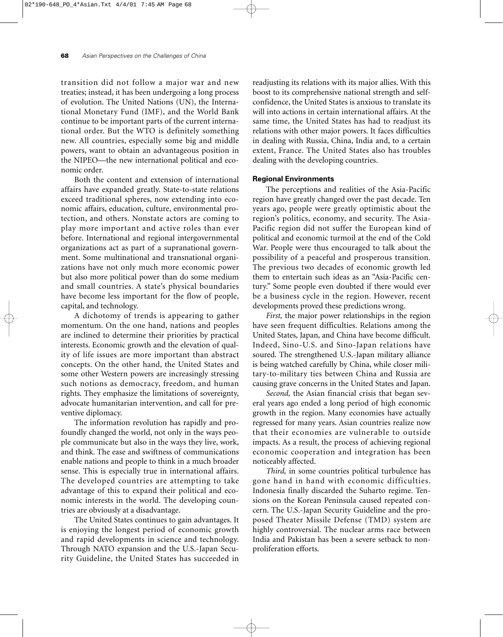transition did not follow a major war and new treaties; instead, it has been undergoing a long process of evolution. The United Nations (UN), the International Monetary Fund (IMF), and the World Bank continue to be important parts of the current international order. But the WTO is definitely something new. All countries, especially some big and middle powers, want to obtain an advantageous position in the NIPEO—the new international political and economic order.

Both the content and extension of international affairs have expanded greatly. State-to-state relations exceed traditional spheres, now extending into economic affairs, education, culture, environmental protection, and others. Nonstate actors are coming to play more important and active roles than ever before. International and regional intergovernmental organizations act as part of a supranational government. Some multinational and transnational organizations have not only much more economic power but also more political power than do some medium and small countries. A state's physical boundaries have become less important for the flow of people, capital, and technology.

A dichotomy of trends is appearing to gather momentum. On the one hand, nations and peoples are inclined to determine their priorities by practical interests. Economic growth and the elevation of quality of life issues are more important than abstract concepts. On the other hand, the United States and some other Western powers are increasingly stressing such notions as democracy, freedom, and human rights. They emphasize the limitations of sovereignty, advocate humanitarian intervention, and call for preventive diplomacy.

The information revolution has rapidly and profoundly changed the world, not only in the ways people communicate but also in the ways they live, work, and think. The ease and swiftness of communications enable nations and people to think in a much broader sense. This is especially true in international affairs. The developed countries are attempting to take advantage of this to expand their political and economic interests in the world. The developing countries are obviously at a disadvantage.

The United States continues to gain advantages. It is enjoying the longest period of economic growth and rapid developments in science and technology. Through NATO expansion and the U.S.-Japan Security Guideline, the United States has succeeded in readjusting its relations with its major allies. With this boost to its comprehensive national strength and selfconfidence, the United States is anxious to translate its will into actions in certain international affairs. At the same time, the United States has had to readjust its relations with other major powers. It faces difficulties in dealing with Russia, China, India and, to a certain extent, France. The United States also has troubles dealing with the developing countries.

### **Regional Environments**

The perceptions and realities of the Asia-Pacific region have greatly changed over the past decade. Ten years ago, people were greatly optimistic about the region's politics, economy, and security. The Asia-Pacific region did not suffer the European kind of political and economic turmoil at the end of the Cold War. People were thus encouraged to talk about the possibility of a peaceful and prosperous transition. The previous two decades of economic growth led them to entertain such ideas as an "Asia-Pacific century." Some people even doubted if there would ever be a business cycle in the region. However, recent developments proved these predictions wrong.

*First,* the major power relationships in the region have seen frequent difficulties. Relations among the United States, Japan, and China have become difficult. Indeed, Sino-U.S. and Sino-Japan relations have soured. The strengthened U.S.-Japan military alliance is being watched carefully by China, while closer military-to-military ties between China and Russia are causing grave concerns in the United States and Japan.

*Second,* the Asian financial crisis that began several years ago ended a long period of high economic growth in the region. Many economies have actually regressed for many years. Asian countries realize now that their economies are vulnerable to outside impacts. As a result, the process of achieving regional economic cooperation and integration has been noticeably affected.

*Third,* in some countries political turbulence has gone hand in hand with economic difficulties. Indonesia finally discarded the Suharto regime. Tensions on the Korean Peninsula caused repeated concern. The U.S.-Japan Security Guideline and the proposed Theater Missile Defense (TMD) system are highly controversial. The nuclear arms race between India and Pakistan has been a severe setback to nonproliferation efforts.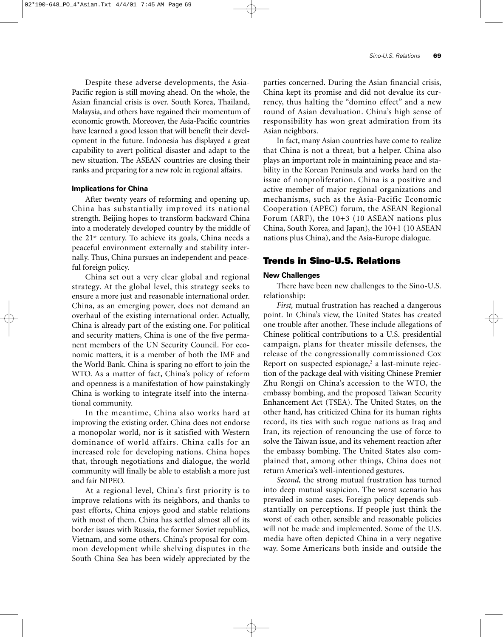Despite these adverse developments, the Asia-Pacific region is still moving ahead. On the whole, the Asian financial crisis is over. South Korea, Thailand, Malaysia, and others have regained their momentum of economic growth. Moreover, the Asia-Pacific countries have learned a good lesson that will benefit their development in the future. Indonesia has displayed a great capability to avert political disaster and adapt to the new situation. The ASEAN countries are closing their ranks and preparing for a new role in regional affairs.

### **Implications for China**

After twenty years of reforming and opening up, China has substantially improved its national strength. Beijing hopes to transform backward China into a moderately developed country by the middle of the 21st century. To achieve its goals, China needs a peaceful environment externally and stability internally. Thus, China pursues an independent and peaceful foreign policy.

China set out a very clear global and regional strategy. At the global level, this strategy seeks to ensure a more just and reasonable international order. China, as an emerging power, does not demand an overhaul of the existing international order. Actually, China is already part of the existing one. For political and security matters, China is one of the five permanent members of the UN Security Council. For economic matters, it is a member of both the IMF and the World Bank. China is sparing no effort to join the WTO. As a matter of fact, China's policy of reform and openness is a manifestation of how painstakingly China is working to integrate itself into the international community.

In the meantime, China also works hard at improving the existing order. China does not endorse a monopolar world, nor is it satisfied with Western dominance of world affairs. China calls for an increased role for developing nations. China hopes that, through negotiations and dialogue, the world community will finally be able to establish a more just and fair NIPEO.

At a regional level, China's first priority is to improve relations with its neighbors, and thanks to past efforts, China enjoys good and stable relations with most of them. China has settled almost all of its border issues with Russia, the former Soviet republics, Vietnam, and some others. China's proposal for common development while shelving disputes in the South China Sea has been widely appreciated by the

parties concerned. During the Asian financial crisis, China kept its promise and did not devalue its currency, thus halting the "domino effect" and a new round of Asian devaluation. China's high sense of responsibility has won great admiration from its Asian neighbors.

In fact, many Asian countries have come to realize that China is not a threat, but a helper. China also plays an important role in maintaining peace and stability in the Korean Peninsula and works hard on the issue of nonproliferation. China is a positive and active member of major regional organizations and mechanisms, such as the Asia-Pacific Economic Cooperation (APEC) forum, the ASEAN Regional Forum (ARF), the 10+3 (10 ASEAN nations plus China, South Korea, and Japan), the 10+1 (10 ASEAN nations plus China), and the Asia-Europe dialogue.

# **Trends in Sino-U.S. Relations**

## **New Challenges**

There have been new challenges to the Sino-U.S. relationship:

*First,* mutual frustration has reached a dangerous point. In China's view, the United States has created one trouble after another. These include allegations of Chinese political contributions to a U.S. presidential campaign, plans for theater missile defenses, the release of the congressionally commissioned Cox Report on suspected espionage, $2$  a last-minute rejection of the package deal with visiting Chinese Premier Zhu Rongji on China's accession to the WTO, the embassy bombing, and the proposed Taiwan Security Enhancement Act (TSEA). The United States, on the other hand, has criticized China for its human rights record, its ties with such rogue nations as Iraq and Iran, its rejection of renouncing the use of force to solve the Taiwan issue, and its vehement reaction after the embassy bombing. The United States also complained that, among other things, China does not return America's well-intentioned gestures.

*Second,* the strong mutual frustration has turned into deep mutual suspicion. The worst scenario has prevailed in some cases. Foreign policy depends substantially on perceptions. If people just think the worst of each other, sensible and reasonable policies will not be made and implemented. Some of the U.S. media have often depicted China in a very negative way. Some Americans both inside and outside the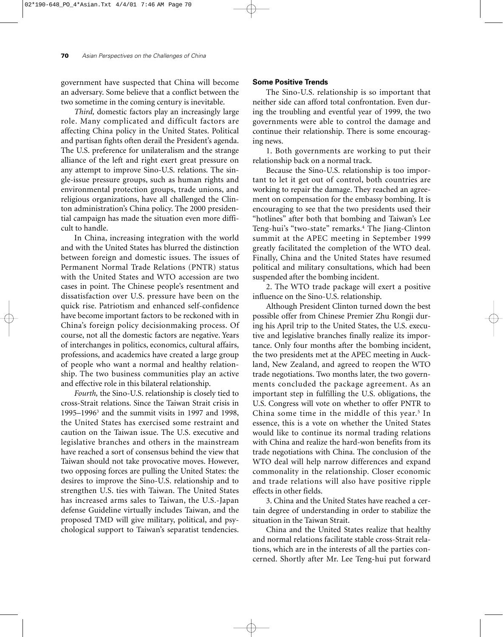government have suspected that China will become an adversary. Some believe that a conflict between the two sometime in the coming century is inevitable.

*Third,* domestic factors play an increasingly large role. Many complicated and difficult factors are affecting China policy in the United States. Political and partisan fights often derail the President's agenda. The U.S. preference for unilateralism and the strange alliance of the left and right exert great pressure on any attempt to improve Sino-U.S. relations. The single-issue pressure groups, such as human rights and environmental protection groups, trade unions, and religious organizations, have all challenged the Clinton administration's China policy. The 2000 presidential campaign has made the situation even more difficult to handle.

In China, increasing integration with the world and with the United States has blurred the distinction between foreign and domestic issues. The issues of Permanent Normal Trade Relations (PNTR) status with the United States and WTO accession are two cases in point. The Chinese people's resentment and dissatisfaction over U.S. pressure have been on the quick rise. Patriotism and enhanced self-confidence have become important factors to be reckoned with in China's foreign policy decisionmaking process. Of course, not all the domestic factors are negative. Years of interchanges in politics, economics, cultural affairs, professions, and academics have created a large group of people who want a normal and healthy relationship. The two business communities play an active and effective role in this bilateral relationship.

*Fourth,* the Sino-U.S. relationship is closely tied to cross-Strait relations. Since the Taiwan Strait crisis in 1995–19963 and the summit visits in 1997 and 1998, the United States has exercised some restraint and caution on the Taiwan issue. The U.S. executive and legislative branches and others in the mainstream have reached a sort of consensus behind the view that Taiwan should not take provocative moves. However, two opposing forces are pulling the United States: the desires to improve the Sino-U.S. relationship and to strengthen U.S. ties with Taiwan. The United States has increased arms sales to Taiwan, the U.S.-Japan defense Guideline virtually includes Taiwan, and the proposed TMD will give military, political, and psychological support to Taiwan's separatist tendencies.

## **Some Positive Trends**

The Sino-U.S. relationship is so important that neither side can afford total confrontation. Even during the troubling and eventful year of 1999, the two governments were able to control the damage and continue their relationship. There is some encouraging news.

1. Both governments are working to put their relationship back on a normal track.

Because the Sino-U.S. relationship is too important to let it get out of control, both countries are working to repair the damage. They reached an agreement on compensation for the embassy bombing. It is encouraging to see that the two presidents used their "hotlines" after both that bombing and Taiwan's Lee Teng-hui's "two-state" remarks.4 The Jiang-Clinton summit at the APEC meeting in September 1999 greatly facilitated the completion of the WTO deal. Finally, China and the United States have resumed political and military consultations, which had been suspended after the bombing incident.

2. The WTO trade package will exert a positive influence on the Sino-U.S. relationship.

Although President Clinton turned down the best possible offer from Chinese Premier Zhu Rongji during his April trip to the United States, the U.S. executive and legislative branches finally realize its importance. Only four months after the bombing incident, the two presidents met at the APEC meeting in Auckland, New Zealand, and agreed to reopen the WTO trade negotiations. Two months later, the two governments concluded the package agreement. As an important step in fulfilling the U.S. obligations, the U.S. Congress will vote on whether to offer PNTR to China some time in the middle of this year.<sup>5</sup> In essence, this is a vote on whether the United States would like to continue its normal trading relations with China and realize the hard-won benefits from its trade negotiations with China. The conclusion of the WTO deal will help narrow differences and expand commonality in the relationship. Closer economic and trade relations will also have positive ripple effects in other fields.

3. China and the United States have reached a certain degree of understanding in order to stabilize the situation in the Taiwan Strait.

China and the United States realize that healthy and normal relations facilitate stable cross-Strait relations, which are in the interests of all the parties concerned. Shortly after Mr. Lee Teng-hui put forward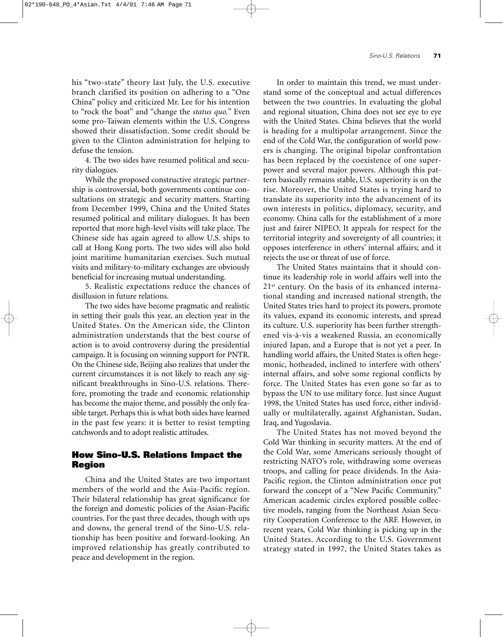his "two-state" theory last July, the U.S. executive branch clarified its position on adhering to a "One China" policy and criticized Mr. Lee for his intention to "rock the boat" and "change the *status quo.*" Even some pro-Taiwan elements within the U.S. Congress showed their dissatisfaction. Some credit should be given to the Clinton administration for helping to defuse the tension.

4. The two sides have resumed political and security dialogues.

While the proposed constructive strategic partnership is controversial, both governments continue consultations on strategic and security matters. Starting from December 1999, China and the United States resumed political and military dialogues. It has been reported that more high-level visits will take place. The Chinese side has again agreed to allow U.S. ships to call at Hong Kong ports. The two sides will also hold joint maritime humanitarian exercises. Such mutual visits and military-to-military exchanges are obviously beneficial for increasing mutual understanding.

5. Realistic expectations reduce the chances of disillusion in future relations.

The two sides have become pragmatic and realistic in setting their goals this year, an election year in the United States. On the American side, the Clinton administration understands that the best course of action is to avoid controversy during the presidential campaign. It is focusing on winning support for PNTR. On the Chinese side, Beijing also realizes that under the current circumstances it is not likely to reach any significant breakthroughs in Sino-U.S. relations. Therefore, promoting the trade and economic relationship has become the major theme, and possibly the only feasible target. Perhaps this is what both sides have learned in the past few years: it is better to resist tempting catchwords and to adopt realistic attitudes.

# **How Sino-U.S. Relations Impact the Region**

China and the United States are two important members of the world and the Asia-Pacific region. Their bilateral relationship has great significance for the foreign and domestic policies of the Asian-Pacific countries. For the past three decades, though with ups and downs, the general trend of the Sino-U.S. relationship has been positive and forward-looking. An improved relationship has greatly contributed to peace and development in the region.

In order to maintain this trend, we must understand some of the conceptual and actual differences between the two countries. In evaluating the global and regional situation, China does not see eye to eye with the United States. China believes that the world is heading for a multipolar arrangement. Since the end of the Cold War, the configuration of world powers is changing. The original bipolar confrontation has been replaced by the coexistence of one superpower and several major powers. Although this pattern basically remains stable, U.S. superiority is on the rise. Moreover, the United States is trying hard to translate its superiority into the advancement of its own interests in politics, diplomacy, security, and economy. China calls for the establishment of a more just and fairer NIPEO. It appeals for respect for the territorial integrity and sovereignty of all countries; it opposes interference in others' internal affairs; and it rejects the use or threat of use of force.

The United States maintains that it should continue its leadership role in world affairs well into the 21st century. On the basis of its enhanced international standing and increased national strength, the United States tries hard to project its powers, promote its values, expand its economic interests, and spread its culture. U.S. superiority has been further strengthened vis-à-vis a weakened Russia, an economically injured Japan, and a Europe that is not yet a peer. In handling world affairs, the United States is often hegemonic, hotheaded, inclined to interfere with others' internal affairs, and solve some regional conflicts by force. The United States has even gone so far as to bypass the UN to use military force. Just since August 1998, the United States has used force, either individually or multilaterally, against Afghanistan, Sudan, Iraq, and Yugoslavia.

The United States has not moved beyond the Cold War thinking in security matters. At the end of the Cold War, some Americans seriously thought of restricting NATO's role, withdrawing some overseas troops, and calling for peace dividends. In the Asia-Pacific region, the Clinton administration once put forward the concept of a "New Pacific Community." American academic circles explored possible collective models, ranging from the Northeast Asian Security Cooperation Conference to the ARF. However, in recent years, Cold War thinking is picking up in the United States. According to the U.S. Government strategy stated in 1997, the United States takes as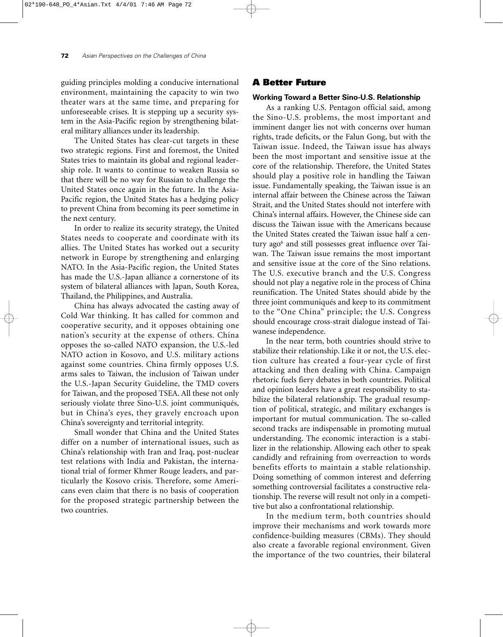guiding principles molding a conducive international environment, maintaining the capacity to win two theater wars at the same time, and preparing for unforeseeable crises. It is stepping up a security system in the Asia-Pacific region by strengthening bilateral military alliances under its leadership.

The United States has clear-cut targets in these two strategic regions. First and foremost, the United States tries to maintain its global and regional leadership role. It wants to continue to weaken Russia so that there will be no way for Russian to challenge the United States once again in the future. In the Asia-Pacific region, the United States has a hedging policy to prevent China from becoming its peer sometime in the next century.

In order to realize its security strategy, the United States needs to cooperate and coordinate with its allies. The United States has worked out a security network in Europe by strengthening and enlarging NATO. In the Asia-Pacific region, the United States has made the U.S.-Japan alliance a cornerstone of its system of bilateral alliances with Japan, South Korea, Thailand, the Philippines, and Australia.

China has always advocated the casting away of Cold War thinking. It has called for common and cooperative security, and it opposes obtaining one nation's security at the expense of others. China opposes the so-called NATO expansion, the U.S.-led NATO action in Kosovo, and U.S. military actions against some countries. China firmly opposes U.S. arms sales to Taiwan, the inclusion of Taiwan under the U.S.-Japan Security Guideline, the TMD covers for Taiwan, and the proposed TSEA. All these not only seriously violate three Sino-U.S. joint communiqués, but in China's eyes, they gravely encroach upon China's sovereignty and territorial integrity.

Small wonder that China and the United States differ on a number of international issues, such as China's relationship with Iran and Iraq, post-nuclear test relations with India and Pakistan, the international trial of former Khmer Rouge leaders, and particularly the Kosovo crisis. Therefore, some Americans even claim that there is no basis of cooperation for the proposed strategic partnership between the two countries.

# **A Better Future**

## **Working Toward a Better Sino-U.S. Relationship**

As a ranking U.S. Pentagon official said, among the Sino-U.S. problems, the most important and imminent danger lies not with concerns over human rights, trade deficits, or the Falun Gong, but with the Taiwan issue. Indeed, the Taiwan issue has always been the most important and sensitive issue at the core of the relationship. Therefore, the United States should play a positive role in handling the Taiwan issue. Fundamentally speaking, the Taiwan issue is an internal affair between the Chinese across the Taiwan Strait, and the United States should not interfere with China's internal affairs. However, the Chinese side can discuss the Taiwan issue with the Americans because the United States created the Taiwan issue half a century ago<sup>6</sup> and still possesses great influence over Taiwan. The Taiwan issue remains the most important and sensitive issue at the core of the Sino relations. The U.S. executive branch and the U.S. Congress should not play a negative role in the process of China reunification. The United States should abide by the three joint communiqués and keep to its commitment to the "One China" principle; the U.S. Congress should encourage cross-strait dialogue instead of Taiwanese independence.

In the near term, both countries should strive to stabilize their relationship. Like it or not, the U.S. election culture has created a four-year cycle of first attacking and then dealing with China. Campaign rhetoric fuels fiery debates in both countries. Political and opinion leaders have a great responsibility to stabilize the bilateral relationship. The gradual resumption of political, strategic, and military exchanges is important for mutual communication. The so-called second tracks are indispensable in promoting mutual understanding. The economic interaction is a stabilizer in the relationship. Allowing each other to speak candidly and refraining from overreaction to words benefits efforts to maintain a stable relationship. Doing something of common interest and deferring something controversial facilitates a constructive relationship. The reverse will result not only in a competitive but also a confrontational relationship.

In the medium term, both countries should improve their mechanisms and work towards more confidence-building measures (CBMs). They should also create a favorable regional environment. Given the importance of the two countries, their bilateral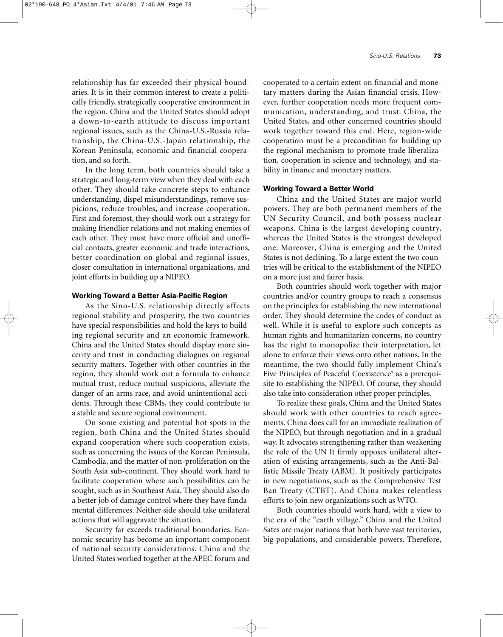relationship has far exceeded their physical boundaries. It is in their common interest to create a politically friendly, strategically cooperative environment in the region. China and the United States should adopt a down-to-earth attitude to discuss important regional issues, such as the China-U.S.-Russia relationship, the China-U.S.-Japan relationship, the Korean Peninsula, economic and financial cooperation, and so forth.

In the long term, both countries should take a strategic and long-term view when they deal with each other. They should take concrete steps to enhance understanding, dispel misunderstandings, remove suspicions, reduce troubles, and increase cooperation. First and foremost, they should work out a strategy for making friendlier relations and not making enemies of each other. They must have more official and unofficial contacts, greater economic and trade interactions, better coordination on global and regional issues, closer consultation in international organizations, and joint efforts in building up a NIPEO.

#### **Working Toward a Better Asia-Pacific Region**

As the Sino-U.S. relationship directly affects regional stability and prosperity, the two countries have special responsibilities and hold the keys to building regional security and an economic framework. China and the United States should display more sincerity and trust in conducting dialogues on regional security matters. Together with other countries in the region, they should work out a formula to enhance mutual trust, reduce mutual suspicions, alleviate the danger of an arms race, and avoid unintentional accidents. Through these CBMs, they could contribute to a stable and secure regional environment.

On some existing and potential hot spots in the region, both China and the United States should expand cooperation where such cooperation exists, such as concerning the issues of the Korean Peninsula, Cambodia, and the matter of non-proliferation on the South Asia sub-continent. They should work hard to facilitate cooperation where such possibilities can be sought, such as in Southeast Asia. They should also do a better job of damage control where they have fundamental differences. Neither side should take unilateral actions that will aggravate the situation.

Security far exceeds traditional boundaries. Economic security has become an important component of national security considerations. China and the United States worked together at the APEC forum and

cooperated to a certain extent on financial and monetary matters during the Asian financial crisis. However, further cooperation needs more frequent communication, understanding, and trust. China, the United States, and other concerned countries should work together toward this end. Here, region-wide cooperation must be a precondition for building up the regional mechanism to promote trade liberalization, cooperation in science and technology, and stability in finance and monetary matters.

### **Working Toward a Better World**

China and the United States are major world powers. They are both permanent members of the UN Security Council, and both possess nuclear weapons. China is the largest developing country, whereas the United States is the strongest developed one. Moreover, China is emerging and the United States is not declining. To a large extent the two countries will be critical to the establishment of the NIPEO on a more just and fairer basis.

Both countries should work together with major countries and/or country groups to reach a consensus on the principles for establishing the new international order. They should determine the codes of conduct as well. While it is useful to explore such concepts as human rights and humanitarian concerns, no country has the right to monopolize their interpretation, let alone to enforce their views onto other nations. In the meantime, the two should fully implement China's Five Principles of Peaceful Coexistence<sup>7</sup> as a prerequisite to establishing the NIPEO. Of course, they should also take into consideration other proper principles.

To realize these goals, China and the United States should work with other countries to reach agreements. China does call for an immediate realization of the NIPEO, but through negotiation and in a gradual way. It advocates strengthening rather than weakening the role of the UN It firmly opposes unilateral alteration of existing arrangements, such as the Anti-Ballistic Missile Treaty (ABM). It positively participates in new negotiations, such as the Comprehensive Test Ban Treaty (CTBT). And China makes relentless efforts to join new organizations such as WTO.

Both countries should work hard, with a view to the era of the "earth village." China and the United Sates are major nations that both have vast territories, big populations, and considerable powers. Therefore,